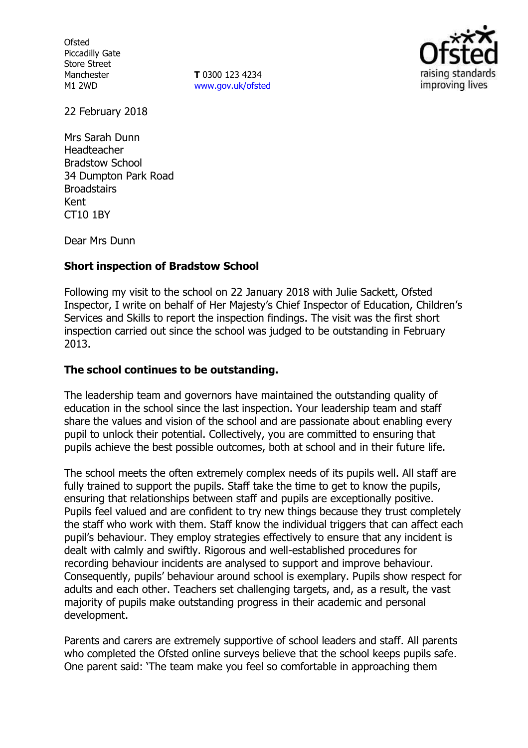**Ofsted** Piccadilly Gate Store Street Manchester M1 2WD

**T** 0300 123 4234 www.gov.uk/ofsted



22 February 2018

Mrs Sarah Dunn Headteacher Bradstow School 34 Dumpton Park Road **Broadstairs** Kent CT10 1BY

Dear Mrs Dunn

#### **Short inspection of Bradstow School**

Following my visit to the school on 22 January 2018 with Julie Sackett, Ofsted Inspector, I write on behalf of Her Majesty's Chief Inspector of Education, Children's Services and Skills to report the inspection findings. The visit was the first short inspection carried out since the school was judged to be outstanding in February 2013.

## **The school continues to be outstanding.**

The leadership team and governors have maintained the outstanding quality of education in the school since the last inspection. Your leadership team and staff share the values and vision of the school and are passionate about enabling every pupil to unlock their potential. Collectively, you are committed to ensuring that pupils achieve the best possible outcomes, both at school and in their future life.

The school meets the often extremely complex needs of its pupils well. All staff are fully trained to support the pupils. Staff take the time to get to know the pupils, ensuring that relationships between staff and pupils are exceptionally positive. Pupils feel valued and are confident to try new things because they trust completely the staff who work with them. Staff know the individual triggers that can affect each pupil's behaviour. They employ strategies effectively to ensure that any incident is dealt with calmly and swiftly. Rigorous and well-established procedures for recording behaviour incidents are analysed to support and improve behaviour. Consequently, pupils' behaviour around school is exemplary. Pupils show respect for adults and each other. Teachers set challenging targets, and, as a result, the vast majority of pupils make outstanding progress in their academic and personal development.

Parents and carers are extremely supportive of school leaders and staff. All parents who completed the Ofsted online surveys believe that the school keeps pupils safe. One parent said: 'The team make you feel so comfortable in approaching them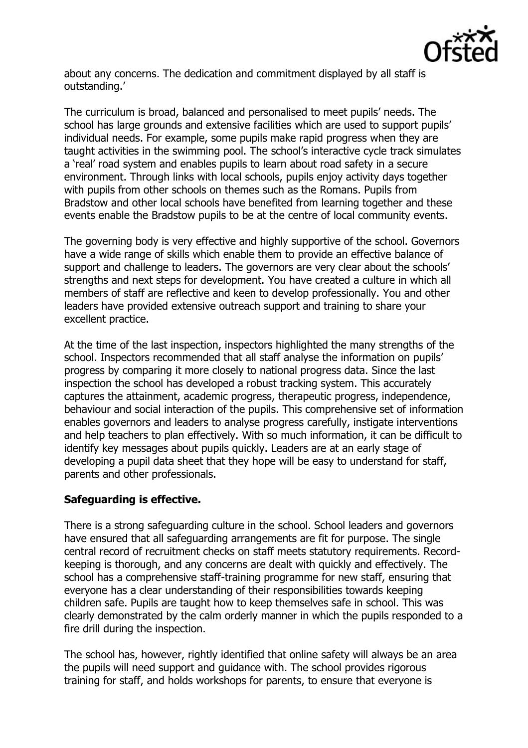

about any concerns. The dedication and commitment displayed by all staff is outstanding.'

The curriculum is broad, balanced and personalised to meet pupils' needs. The school has large grounds and extensive facilities which are used to support pupils' individual needs. For example, some pupils make rapid progress when they are taught activities in the swimming pool. The school's interactive cycle track simulates a 'real' road system and enables pupils to learn about road safety in a secure environment. Through links with local schools, pupils enjoy activity days together with pupils from other schools on themes such as the Romans. Pupils from Bradstow and other local schools have benefited from learning together and these events enable the Bradstow pupils to be at the centre of local community events.

The governing body is very effective and highly supportive of the school. Governors have a wide range of skills which enable them to provide an effective balance of support and challenge to leaders. The governors are very clear about the schools' strengths and next steps for development. You have created a culture in which all members of staff are reflective and keen to develop professionally. You and other leaders have provided extensive outreach support and training to share your excellent practice.

At the time of the last inspection, inspectors highlighted the many strengths of the school. Inspectors recommended that all staff analyse the information on pupils' progress by comparing it more closely to national progress data. Since the last inspection the school has developed a robust tracking system. This accurately captures the attainment, academic progress, therapeutic progress, independence, behaviour and social interaction of the pupils. This comprehensive set of information enables governors and leaders to analyse progress carefully, instigate interventions and help teachers to plan effectively. With so much information, it can be difficult to identify key messages about pupils quickly. Leaders are at an early stage of developing a pupil data sheet that they hope will be easy to understand for staff, parents and other professionals.

# **Safeguarding is effective.**

There is a strong safeguarding culture in the school. School leaders and governors have ensured that all safeguarding arrangements are fit for purpose. The single central record of recruitment checks on staff meets statutory requirements. Recordkeeping is thorough, and any concerns are dealt with quickly and effectively. The school has a comprehensive staff-training programme for new staff, ensuring that everyone has a clear understanding of their responsibilities towards keeping children safe. Pupils are taught how to keep themselves safe in school. This was clearly demonstrated by the calm orderly manner in which the pupils responded to a fire drill during the inspection.

The school has, however, rightly identified that online safety will always be an area the pupils will need support and guidance with. The school provides rigorous training for staff, and holds workshops for parents, to ensure that everyone is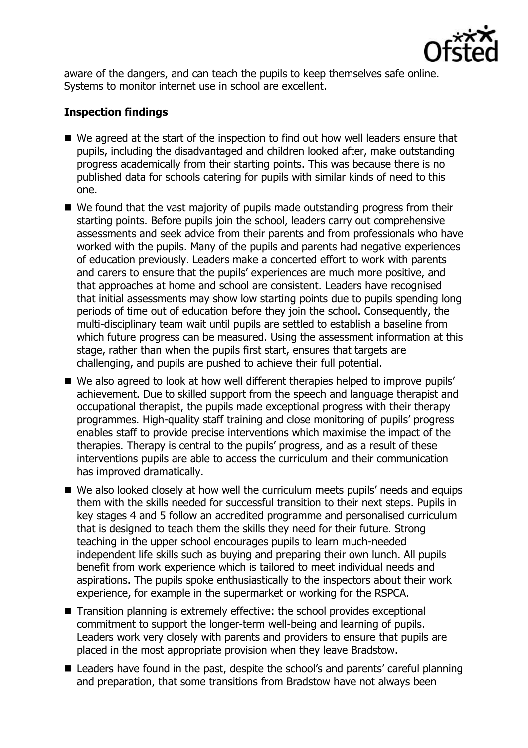

aware of the dangers, and can teach the pupils to keep themselves safe online. Systems to monitor internet use in school are excellent.

## **Inspection findings**

- We agreed at the start of the inspection to find out how well leaders ensure that pupils, including the disadvantaged and children looked after, make outstanding progress academically from their starting points. This was because there is no published data for schools catering for pupils with similar kinds of need to this one.
- We found that the vast majority of pupils made outstanding progress from their starting points. Before pupils join the school, leaders carry out comprehensive assessments and seek advice from their parents and from professionals who have worked with the pupils. Many of the pupils and parents had negative experiences of education previously. Leaders make a concerted effort to work with parents and carers to ensure that the pupils' experiences are much more positive, and that approaches at home and school are consistent. Leaders have recognised that initial assessments may show low starting points due to pupils spending long periods of time out of education before they join the school. Consequently, the multi-disciplinary team wait until pupils are settled to establish a baseline from which future progress can be measured. Using the assessment information at this stage, rather than when the pupils first start, ensures that targets are challenging, and pupils are pushed to achieve their full potential.
- We also agreed to look at how well different therapies helped to improve pupils' achievement. Due to skilled support from the speech and language therapist and occupational therapist, the pupils made exceptional progress with their therapy programmes. High-quality staff training and close monitoring of pupils' progress enables staff to provide precise interventions which maximise the impact of the therapies. Therapy is central to the pupils' progress, and as a result of these interventions pupils are able to access the curriculum and their communication has improved dramatically.
- We also looked closely at how well the curriculum meets pupils' needs and equips them with the skills needed for successful transition to their next steps. Pupils in key stages 4 and 5 follow an accredited programme and personalised curriculum that is designed to teach them the skills they need for their future. Strong teaching in the upper school encourages pupils to learn much-needed independent life skills such as buying and preparing their own lunch. All pupils benefit from work experience which is tailored to meet individual needs and aspirations. The pupils spoke enthusiastically to the inspectors about their work experience, for example in the supermarket or working for the RSPCA.
- Transition planning is extremely effective: the school provides exceptional commitment to support the longer-term well-being and learning of pupils. Leaders work very closely with parents and providers to ensure that pupils are placed in the most appropriate provision when they leave Bradstow.
- Leaders have found in the past, despite the school's and parents' careful planning and preparation, that some transitions from Bradstow have not always been